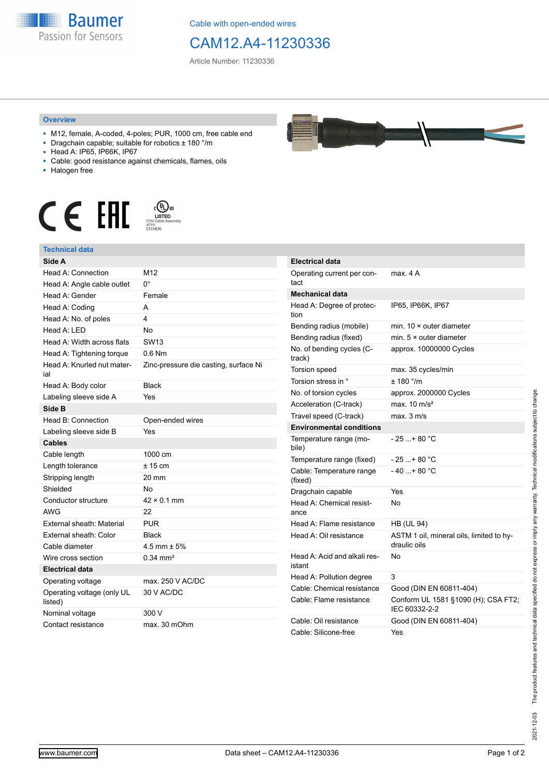

Cable with open-ended wires

## CAM12.A4-11230336

Article Number: 11230336

## **Overview**

- M12, female, A-coded, 4-poles; PUR, 1000 cm, free cable end
- Dragchain capable; suitable for robotics ± 180 °/m
- Head A: IP65, IP66K, IP67
- Cable: good resistance against chemicals, flames, oils
- Halogen free



## **Technical data**

| Side A                                |                                       |
|---------------------------------------|---------------------------------------|
| Head A: Connection                    | M <sub>12</sub>                       |
| Head A: Angle cable outlet            | 0°                                    |
| Head A: Gender                        | Female                                |
| Head A: Coding                        | А                                     |
| Head A: No. of poles                  | 4                                     |
| Head A: LED                           | No                                    |
| Head A: Width across flats            | <b>SW13</b>                           |
| Head A: Tightening torque             | $0.6$ Nm                              |
| Head A: Knurled nut mater-<br>ial     | Zinc-pressure die casting, surface Ni |
| Head A: Body color                    | <b>Black</b>                          |
| Labeling sleeve side A                | Yes                                   |
| Side B                                |                                       |
| Head B: Connection                    | Open-ended wires                      |
| Labeling sleeve side B                | Yes                                   |
| <b>Cables</b>                         |                                       |
| Cable length                          | 1000 cm                               |
| Length tolerance                      | $± 15$ cm                             |
| Stripping length                      | 20 mm                                 |
| Shielded                              | No                                    |
| Conductor structure                   | $42 \times 0.1$ mm                    |
| <b>AWG</b>                            | 22                                    |
| External sheath: Material             | <b>PUR</b>                            |
| External sheath: Color                | <b>Black</b>                          |
| Cable diameter                        | 4.5 mm $\pm$ 5%                       |
| Wire cross section                    | $0.34 \, \text{mm}^2$                 |
| <b>Electrical data</b>                |                                       |
| Operating voltage                     | max. 250 V AC/DC                      |
| Operating voltage (only UL<br>listed) | 30 V AC/DC                            |
| Nominal voltage                       | 300 V                                 |
| Contact resistance                    | max. 30 mOhm                          |

| <b>Electrical data</b>                 |                                                          |
|----------------------------------------|----------------------------------------------------------|
| Operating current per con-<br>tact     | max. 4 A                                                 |
| <b>Mechanical data</b>                 |                                                          |
| Head A: Degree of protec-<br>tion      | IP65, IP66K, IP67                                        |
| Bending radius (mobile)                | min. $10 \times$ outer diameter                          |
| Bending radius (fixed)                 | min. $5 \times$ outer diameter                           |
| No. of bending cycles (C-<br>track)    | approx. 10000000 Cycles                                  |
| <b>Torsion speed</b>                   | max. 35 cycles/min                                       |
| Torsion stress in °                    | ± 180 °/m                                                |
| No. of torsion cycles                  | approx. 2000000 Cycles                                   |
| Acceleration (C-track)                 | max. $10 \text{ m/s}^2$                                  |
| Travel speed (C-track)                 | $max$ 3 m/s                                              |
| <b>Environmental conditions</b>        |                                                          |
| Temperature range (mo-<br>bile)        | - 25 + 80 °C                                             |
| Temperature range (fixed)              | - 25 + 80 °C                                             |
| Cable: Temperature range<br>(fixed)    | $-40+80 °C$                                              |
| Dragchain capable                      | Yes                                                      |
| Head A: Chemical resist-<br>ance       | No                                                       |
| Head A: Flame resistance               | <b>HB (UL 94)</b>                                        |
| Head A: Oil resistance                 | ASTM 1 oil, mineral oils, limited to hy-<br>draulic oils |
| Head A: Acid and alkali res-<br>istant | No                                                       |
| Head A: Pollution degree               | 3                                                        |
| Cable: Chemical resistance             | Good (DIN EN 60811-404)                                  |
| Cable: Flame resistance                | Conform UL 1581 §1090 (H); CSA FT2;<br>IEC 60332-2-2     |
| Cable: Oil resistance                  | Good (DIN EN 60811-404)                                  |
| Cable: Silicone-free                   | Yes                                                      |



| i<br>l<br>Í<br>ĺ<br>j<br>í<br>ı                                                                                       |  |
|-----------------------------------------------------------------------------------------------------------------------|--|
| j<br>í<br>.<br>.<br>֦<br>١<br>.<br>.<br>.<br>۱<br>$\frac{1}{2}$<br>$\frac{5}{5}$<br>$\vdots$<br>ì<br>ļ<br>í<br>j<br>I |  |
| ch-7<br>့်<br>$\frac{1}{2}$<br>202                                                                                    |  |